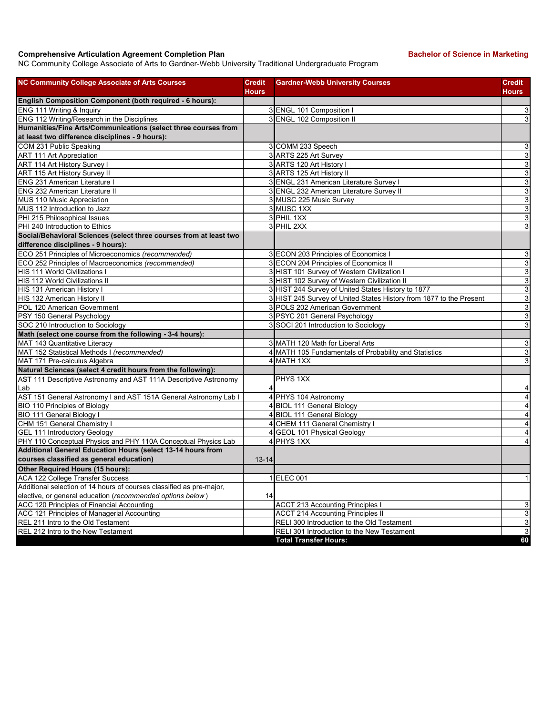## **Comprehensive Articulation Agreement Completion Plan Bachelor of Science in Marketing**

NC Community College Associate of Arts to Gardner-Webb University Traditional Undergraduate Program

| <b>NC Community College Associate of Arts Courses</b>                | <b>Credit</b><br><b>Hours</b> | <b>Gardner-Webb University Courses</b>                              | <b>Credit</b><br><b>Hours</b> |
|----------------------------------------------------------------------|-------------------------------|---------------------------------------------------------------------|-------------------------------|
| English Composition Component (both required - 6 hours):             |                               |                                                                     |                               |
| ENG 111 Writing & Inquiry                                            |                               | 3 ENGL 101 Composition I                                            | 3                             |
| ENG 112 Writing/Research in the Disciplines                          |                               | 3 ENGL 102 Composition II                                           | 3                             |
| Humanities/Fine Arts/Communications (select three courses from       |                               |                                                                     |                               |
| at least two difference disciplines - 9 hours):                      |                               |                                                                     |                               |
| COM 231 Public Speaking                                              |                               | 3 COMM 233 Speech                                                   | 3                             |
| <b>ART 111 Art Appreciation</b>                                      |                               | 3 ARTS 225 Art Survey                                               | 3                             |
| <b>ART 114 Art History Survey I</b>                                  |                               | 3 ARTS 120 Art History I                                            | 3                             |
| ART 115 Art History Survey II                                        |                               | 3 ARTS 125 Art History II                                           | 3                             |
| ENG 231 American Literature                                          |                               | 3 ENGL 231 American Literature Survey I                             | 3                             |
| ENG 232 American Literature II                                       |                               | 3 ENGL 232 American Literature Survey II                            | 3                             |
| MUS 110 Music Appreciation                                           |                               | 3 MUSC 225 Music Survey                                             | 3                             |
| MUS 112 Introduction to Jazz                                         |                               | 3 MUSC 1XX                                                          | 3                             |
| PHI 215 Philosophical Issues                                         |                               | 3 PHIL 1XX                                                          | 3                             |
| PHI 240 Introduction to Ethics                                       |                               | 3 PHIL 2XX                                                          | 3                             |
| Social/Behavioral Sciences (select three courses from at least two   |                               |                                                                     |                               |
| difference disciplines - 9 hours):                                   |                               |                                                                     |                               |
| ECO 251 Principles of Microeconomics (recommended)                   |                               | 3 ECON 203 Principles of Economics I                                | 3                             |
| ECO 252 Principles of Macroeconomics (recommended)                   |                               | 3 ECON 204 Principles of Economics II                               | 3                             |
| HIS 111 World Civilizations I                                        |                               | 3 HIST 101 Survey of Western Civilization I                         | 3                             |
| HIS 112 World Civilizations II                                       |                               | 3 HIST 102 Survey of Western Civilization II                        | 3                             |
| HIS 131 American History I                                           |                               | 3 HIST 244 Survey of United States History to 1877                  | 3                             |
| HIS 132 American History II                                          |                               | 3 HIST 245 Survey of United States History from 1877 to the Present | 3                             |
| POL 120 American Government                                          |                               | 3 POLS 202 American Government                                      | 3                             |
| PSY 150 General Psychology                                           |                               | 3 PSYC 201 General Psychology                                       | 3                             |
| SOC 210 Introduction to Sociology                                    |                               | 3 SOCI 201 Introduction to Sociology                                | 3                             |
| Math (select one course from the following - 3-4 hours):             |                               |                                                                     |                               |
| MAT 143 Quantitative Literacy                                        |                               | 3 MATH 120 Math for Liberal Arts                                    | $\overline{3}$                |
| MAT 152 Statistical Methods I (recommended)                          |                               | 4 MATH 105 Fundamentals of Probability and Statistics               | 3                             |
| MAT 171 Pre-calculus Algebra                                         |                               | 4 MATH 1XX                                                          | 3                             |
| Natural Sciences (select 4 credit hours from the following):         |                               |                                                                     |                               |
| AST 111 Descriptive Astronomy and AST 111A Descriptive Astronomy     |                               | PHYS 1XX                                                            |                               |
| Lab                                                                  |                               |                                                                     | 4                             |
| AST 151 General Astronomy I and AST 151A General Astronomy Lab I     |                               | 4 PHYS 104 Astronomy                                                | 4                             |
| BIO 110 Principles of Biology                                        |                               | 4 BIOL 111 General Biology                                          | $\overline{4}$                |
| <b>BIO 111 General Biology I</b>                                     |                               | 4 BIOL 111 General Biology                                          | $\overline{4}$                |
| CHM 151 General Chemistry I                                          |                               | 4 CHEM 111 General Chemistry I                                      | $\overline{4}$                |
| <b>GEL 111 Introductory Geology</b>                                  |                               | 4 GEOL 101 Physical Geology                                         | 4                             |
| PHY 110 Conceptual Physics and PHY 110A Conceptual Physics Lab       |                               | 4 PHYS 1XX                                                          | $\overline{4}$                |
| Additional General Education Hours (select 13-14 hours from          |                               |                                                                     |                               |
| courses classified as general education)                             | $13 - 14$                     |                                                                     |                               |
| Other Required Hours (15 hours):                                     |                               |                                                                     |                               |
| ACA 122 College Transfer Success                                     |                               | 1 ELEC 001                                                          | $\mathbf{1}$                  |
| Additional selection of 14 hours of courses classified as pre-major, |                               |                                                                     |                               |
| elective, or general education (recommended options below)           | 14                            |                                                                     |                               |
| ACC 120 Principles of Financial Accounting                           |                               | <b>ACCT 213 Accounting Principles I</b>                             | 3                             |
| ACC 121 Principles of Managerial Accounting                          |                               | <b>ACCT 214 Accounting Principles II</b>                            | 3                             |
| REL 211 Intro to the Old Testament                                   |                               | RELI 300 Introduction to the Old Testament                          | 3                             |
| REL 212 Intro to the New Testament                                   |                               | RELI 301 Introduction to the New Testament                          | 3                             |
|                                                                      |                               | <b>Total Transfer Hours:</b>                                        | 60                            |